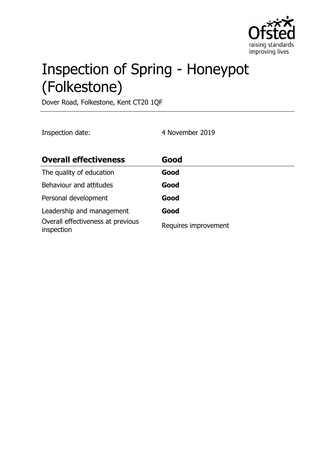

# Inspection of Spring - Honeypot (Folkestone)

Dover Road, Folkestone, Kent CT20 1QF

Inspection date: 4 November 2019

| <b>Overall effectiveness</b>                    | Good                 |
|-------------------------------------------------|----------------------|
| The quality of education                        | Good                 |
| Behaviour and attitudes                         | Good                 |
| Personal development                            | Good                 |
| Leadership and management                       | Good                 |
| Overall effectiveness at previous<br>inspection | Requires improvement |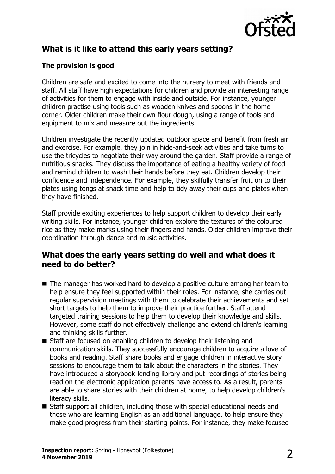

# **What is it like to attend this early years setting?**

#### **The provision is good**

Children are safe and excited to come into the nursery to meet with friends and staff. All staff have high expectations for children and provide an interesting range of activities for them to engage with inside and outside. For instance, younger children practise using tools such as wooden knives and spoons in the home corner. Older children make their own flour dough, using a range of tools and equipment to mix and measure out the ingredients.

Children investigate the recently updated outdoor space and benefit from fresh air and exercise. For example, they join in hide-and-seek activities and take turns to use the tricycles to negotiate their way around the garden. Staff provide a range of nutritious snacks. They discuss the importance of eating a healthy variety of food and remind children to wash their hands before they eat. Children develop their confidence and independence. For example, they skilfully transfer fruit on to their plates using tongs at snack time and help to tidy away their cups and plates when they have finished.

Staff provide exciting experiences to help support children to develop their early writing skills. For instance, younger children explore the textures of the coloured rice as they make marks using their fingers and hands. Older children improve their coordination through dance and music activities.

## **What does the early years setting do well and what does it need to do better?**

- $\blacksquare$  The manager has worked hard to develop a positive culture among her team to help ensure they feel supported within their roles. For instance, she carries out regular supervision meetings with them to celebrate their achievements and set short targets to help them to improve their practice further. Staff attend targeted training sessions to help them to develop their knowledge and skills. However, some staff do not effectively challenge and extend children's learning and thinking skills further.
- Staff are focused on enabling children to develop their listening and communication skills. They successfully encourage children to acquire a love of books and reading. Staff share books and engage children in interactive story sessions to encourage them to talk about the characters in the stories. They have introduced a storybook-lending library and put recordings of stories being read on the electronic application parents have access to. As a result, parents are able to share stories with their children at home, to help develop children's literacy skills.
- $\blacksquare$  Staff support all children, including those with special educational needs and those who are learning English as an additional language, to help ensure they make good progress from their starting points. For instance, they make focused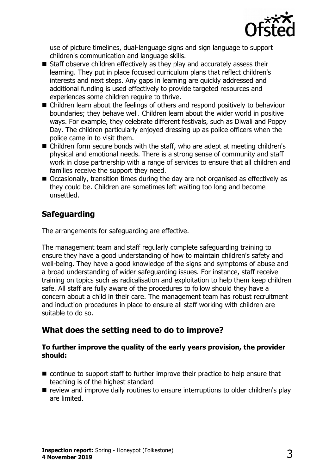

use of picture timelines, dual-language signs and sign language to support children's communication and language skills.

- $\blacksquare$  Staff observe children effectively as they play and accurately assess their learning. They put in place focused curriculum plans that reflect children's interests and next steps. Any gaps in learning are quickly addressed and additional funding is used effectively to provide targeted resources and experiences some children require to thrive.
- $\blacksquare$  Children learn about the feelings of others and respond positively to behaviour boundaries; they behave well. Children learn about the wider world in positive ways. For example, they celebrate different festivals, such as Diwali and Poppy Day. The children particularly enjoyed dressing up as police officers when the police came in to visit them.
- $\blacksquare$  Children form secure bonds with the staff, who are adept at meeting children's physical and emotional needs. There is a strong sense of community and staff work in close partnership with a range of services to ensure that all children and families receive the support they need.
- $\blacksquare$  Occasionally, transition times during the day are not organised as effectively as they could be. Children are sometimes left waiting too long and become unsettled.

## **Safeguarding**

The arrangements for safeguarding are effective.

The management team and staff regularly complete safeguarding training to ensure they have a good understanding of how to maintain children's safety and well-being. They have a good knowledge of the signs and symptoms of abuse and a broad understanding of wider safeguarding issues. For instance, staff receive training on topics such as radicalisation and exploitation to help them keep children safe. All staff are fully aware of the procedures to follow should they have a concern about a child in their care. The management team has robust recruitment and induction procedures in place to ensure all staff working with children are suitable to do so.

## **What does the setting need to do to improve?**

#### **To further improve the quality of the early years provision, the provider should:**

- $\blacksquare$  continue to support staff to further improve their practice to help ensure that teaching is of the highest standard
- $\blacksquare$  review and improve daily routines to ensure interruptions to older children's play are limited.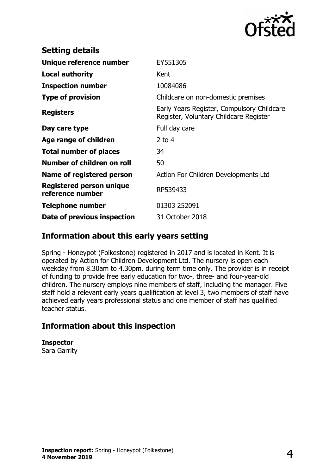

| <b>Setting details</b>                              |                                                                                      |
|-----------------------------------------------------|--------------------------------------------------------------------------------------|
| Unique reference number                             | EY551305                                                                             |
| Local authority                                     | Kent                                                                                 |
| <b>Inspection number</b>                            | 10084086                                                                             |
| <b>Type of provision</b>                            | Childcare on non-domestic premises                                                   |
| <b>Registers</b>                                    | Early Years Register, Compulsory Childcare<br>Register, Voluntary Childcare Register |
| Day care type                                       | Full day care                                                                        |
| Age range of children                               | 2 to $4$                                                                             |
| <b>Total number of places</b>                       | 34                                                                                   |
| Number of children on roll                          | 50                                                                                   |
| Name of registered person                           | Action For Children Developments Ltd                                                 |
| <b>Registered person unique</b><br>reference number | RP539433                                                                             |
| <b>Telephone number</b>                             | 01303 252091                                                                         |
| Date of previous inspection                         | 31 October 2018                                                                      |

#### **Information about this early years setting**

Spring - Honeypot (Folkestone) registered in 2017 and is located in Kent. It is operated by Action for Children Development Ltd. The nursery is open each weekday from 8.30am to 4.30pm, during term time only. The provider is in receipt of funding to provide free early education for two-, three- and four-year-old children. The nursery employs nine members of staff, including the manager. Five staff hold a relevant early years qualification at level 3, two members of staff have achieved early years professional status and one member of staff has qualified teacher status.

## **Information about this inspection**

**Inspector**

Sara Garrity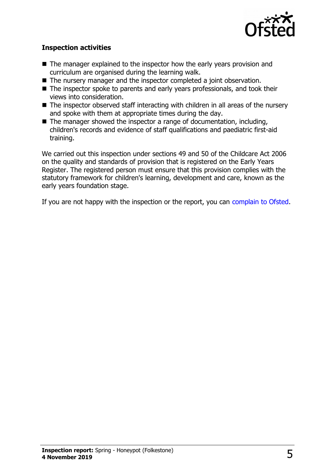

#### **Inspection activities**

- $\blacksquare$  The manager explained to the inspector how the early years provision and curriculum are organised during the learning walk.
- $\blacksquare$  The nursery manager and the inspector completed a joint observation.
- The inspector spoke to parents and early years professionals, and took their views into consideration.
- $\blacksquare$  The inspector observed staff interacting with children in all areas of the nursery and spoke with them at appropriate times during the day.
- $\blacksquare$  The manager showed the inspector a range of documentation, including, children's records and evidence of staff qualifications and paediatric first-aid training.

We carried out this inspection under sections 49 and 50 of the Childcare Act 2006 on the quality and standards of provision that is registered on the Early Years Register. The registered person must ensure that this provision complies with the statutory framework for children's learning, development and care, known as the early years foundation stage.

If you are not happy with the inspection or the report, you can [complain to Ofsted.](http://www.gov.uk/complain-ofsted-report)